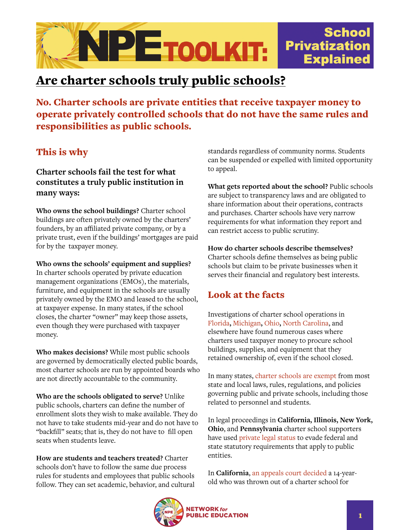

## Are charter schools truly public schools?

No. Charter schools are private entities that receive taxpayer money to operate privately controlled schools that do not have the same rules and responsibilities as public schools.

## This is why

**Charter schools fail the test for what constitutes a truly public institution in many ways:**

**Who owns the school buildings?** Charter school buildings are often privately owned by the charters' founders, by an affiliated private company, or by a private trust, even if the buildings' mortgages are paid for by the taxpayer money.

**Who owns the schools' equipment and supplies?**  In charter schools operated by private education management organizations (EMOs), the materials, furniture, and equipment in the schools are usually privately owned by the EMO and leased to the school, at taxpayer expense. In many states, if the school closes, the charter "owner" may keep those assets, even though they were purchased with taxpayer money.

**Who makes decisions?** While most public schools are governed by democratically elected public boards, most charter schools are run by appointed boards who are not directly accountable to the community.

**Who are the schools obligated to serve?** Unlike public schools, charters can define the number of enrollment slots they wish to make available. They do not have to take students mid-year and do not have to "backfill" seats; that is, they do not have to fill open seats when students leave.

**How are students and teachers treated?** Charter schools don't have to follow the same due process rules for students and employees that public schools follow. They can set academic, behavior, and cultural standards regardless of community norms. Students can be suspended or expelled with limited opportunity to appeal.

**What gets reported about the school?** Public schools are subject to transparency laws and are obligated to share information about their operations, contracts and purchases. Charter schools have very narrow requirements for what information they report and can restrict access to public scrutiny.

**How do charter schools describe themselves?**  Charter schools define themselves as being public schools but claim to be private businesses when it serves their financial and regulatory best interests.

## Look at the facts

Investigations of charter school operations in [Florida](https://www.miamiherald.com/news/local/education/article49565370.html)**,** [Michigan](https://www.freep.com/story/news/local/michigan/2014/12/14/charters-national-heritage-academies-tax-dollars-school-contents/20357559/)**,** [Ohio](https://www.prwatch.org/news/2014/10/12624/white-hat%E2%80%99s-magic-trick-transforming-public-schools-private-assets)**,** [North Carolina,](https://www.salon.com/2016/12/05/tar-heel-heist-how-the-charter-school-industry-is-hijacking-public-education_partner/) and elsewhere have found numerous cases where charters used taxpayer money to procure school buildings, supplies, and equipment that they retained ownership of, even if the school closed.

In many states, [charter schools are exempt](https://scholarship.law.umassd.edu/umlr/vol10/iss2/1/) from most state and local laws, rules, regulations, and policies governing public and private schools, including those related to personnel and students.

In legal proceedings in **California, Illinois, New York, Ohio**, and **Pennsylvania** charter school supporters have used [private legal status](https://papers.ssrn.com/sol3/papers.cfm?abstract_id=2399937) to evade federal and state statutory requirements that apply to public entities.

In **California**, [an appeals court decided](https://mycharterlaw.com/pdf/Scott-B-v-Board-of-Trustees-of-OCHSA-062713.pdf?x49427) a 14-yearold who was thrown out of a charter school for